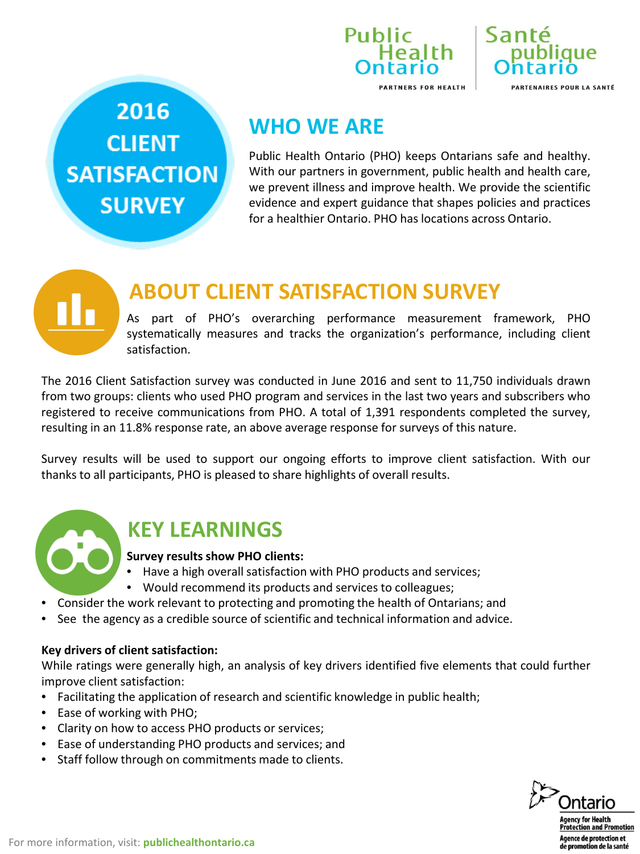



2016 **CLIENT SATISFACTION SURVEY** 

## **WHO WE ARE**

Public Health Ontario (PHO) keeps Ontarians safe and healthy. With our partners in government, public health and health care, we prevent illness and improve health. We provide the scientific evidence and expert guidance that shapes policies and practices for a healthier Ontario. PHO has locations across Ontario.

## **ABOUT CLIENT SATISFACTION SURVEY**

As part of PHO's overarching performance measurement framework, PHO systematically measures and tracks the organization's performance, including client satisfaction.

The 2016 Client Satisfaction survey was conducted in June 2016 and sent to 11,750 individuals drawn from two groups: clients who used PHO program and services in the last two years and subscribers who registered to receive communications from PHO. A total of 1,391 respondents completed the survey, resulting in an 11.8% response rate, an above average response for surveys of this nature.

Survey results will be used to support our ongoing efforts to improve client satisfaction. With our thanks to all participants, PHO is pleased to share highlights of overall results.



## **KEY LEARNINGS**

#### **Survey results show PHO clients:**

- Have a high overall satisfaction with PHO products and services;
- Would recommend its products and services to colleagues;
- Consider the work relevant to protecting and promoting the health of Ontarians; and
- See the agency as a credible source of scientific and technical information and advice.

#### **Key drivers of client satisfaction:**

While ratings were generally high, an analysis of key drivers identified five elements that could further improve client satisfaction:

- Facilitating the application of research and scientific knowledge in public health;
- Ease of working with PHO;
- Clarity on how to access PHO products or services;
- Ease of understanding PHO products and services; and
- Staff follow through on commitments made to clients.